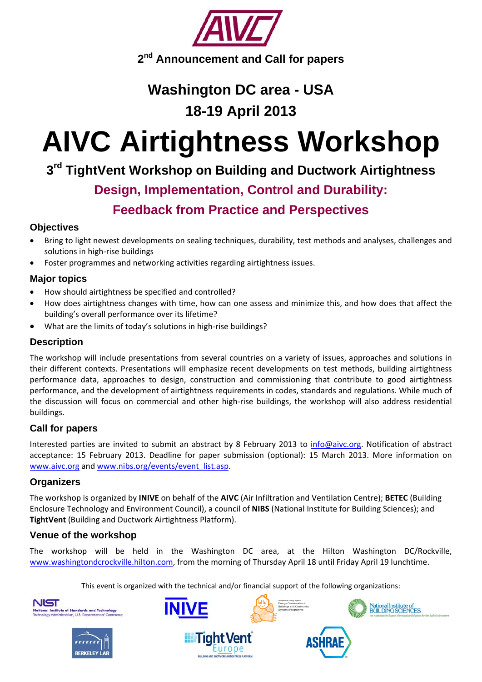

# **Washington DC area - USA**

# **18-19 April 2013**

# **AIVC Airtightness Workshop**

# **3rd TightVent Workshop on Building and Ductwork Airtightness**

## **Design, Implementation, Control and Durability:**

## **Feedback from Practice and Perspectives**

### **Objectives**

- Bring to light newest developments on sealing techniques, durability, test methods and analyses, challenges and solutions in high‐rise buildings
- Foster programmes and networking activities regarding airtightness issues.

## **Major topics**

- How should airtightness be specified and controlled?
- How does airtightness changes with time, how can one assess and minimize this, and how does that affect the building's overall performance over its lifetime?
- What are the limits of today's solutions in high-rise buildings?

#### **Description**

The workshop will include presentations from several countries on a variety of issues, approaches and solutions in their different contexts. Presentations will emphasize recent developments on test methods, building airtightness performance data, approaches to design, construction and commissioning that contribute to good airtightness performance, and the development of airtightness requirements in codes, standards and regulations. While much of the discussion will focus on commercial and other high-rise buildings, the workshop will also address residential buildings.

## **Call for papers**

Interested parties are invited to submit an abstract by 8 February 2013 to info@aivc.org. Notification of abstract acceptance: 15 February 2013. Deadline for paper submission (optional): 15 March 2013. More information on www.aivc.org and www.nibs.org/events/event\_list.asp.

#### **Organizers**

The workshop is organized by **INIVE** on behalf of the **AIVC** (Air Infiltration and Ventilation Centre); **BETEC** (Building Enclosure Technology and Environment Council), a council of **NIBS** (National Institute for Building Sciences); and **TightVent** (Building and Ductwork Airtightness Platform).

## **Venue of the workshop**

The workshop will be held in the Washington DC area, at the Hilton Washington DC/Rockville, www.washingtondcrockville.hilton.com, from the morning of Thursday April 18 until Friday April 19 lunchtime.

This event is organized with the technical and/or financial support of the following organizations: